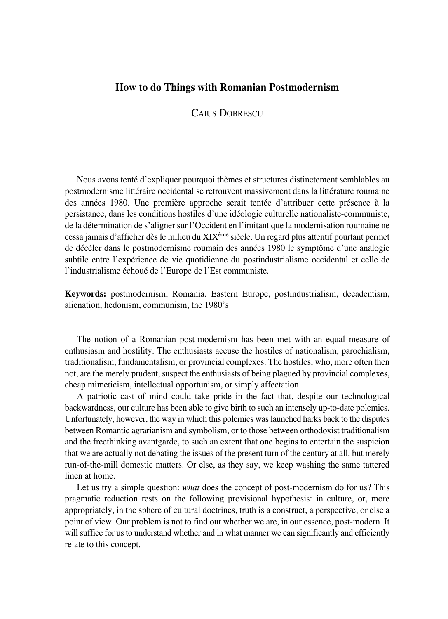## **How to do Things with Romanian Postmodernism**

CAIUS DOBRESCU

Nous avons tenté d'expliquer pourquoi thèmes et structures distinctement semblables au postmodernisme littéraire occidental se retrouvent massivement dans la littérature roumaine des années 1980. Une première approche serait tentée d'attribuer cette présence à la persistance, dans les conditions hostiles d'une idéologie culturelle nationaliste-communiste, de la détermination de s'aligner sur l'Occident en l'imitant que la modernisation roumaine ne cessa jamais d'afficher dès le milieu du XIXème siècle. Un regard plus attentif pourtant permet de décéler dans le postmodernisme roumain des années 1980 le symptôme d'une analogie subtile entre l'expérience de vie quotidienne du postindustrialisme occidental et celle de l'industrialisme échoué de l'Europe de l'Est communiste.

**Keywords:** postmodernism, Romania, Eastern Europe, postindustrialism, decadentism, alienation, hedonism, communism, the 1980's

The notion of a Romanian post-modernism has been met with an equal measure of enthusiasm and hostility. The enthusiasts accuse the hostiles of nationalism, parochialism, traditionalism, fundamentalism, or provincial complexes. The hostiles, who, more often then not, are the merely prudent, suspect the enthusiasts of being plagued by provincial complexes, cheap mimeticism, intellectual opportunism, or simply affectation.

A patriotic cast of mind could take pride in the fact that, despite our technological backwardness, our culture has been able to give birth to such an intensely up-to-date polemics. Unfortunately, however, the way in which this polemics was launched harks back to the disputes between Romantic agrarianism and symbolism, or to those between orthodoxist traditionalism and the freethinking avantgarde, to such an extent that one begins to entertain the suspicion that we are actually not debating the issues of the present turn of the century at all, but merely run°of°the°mill domestic matters. Or else, as they say, we keep washing the same tattered linen at home.

Let us try a simple question: *what* does the concept of post-modernism do for us? This pragmatic reduction rests on the following provisional hypothesis: in culture, or, more appropriately, in the sphere of cultural doctrines, truth is a construct, a perspective, or else a point of view. Our problem is not to find out whether we are, in our essence, post-modern. It will suffice for us to understand whether and in what manner we can significantly and efficiently relate to this concept.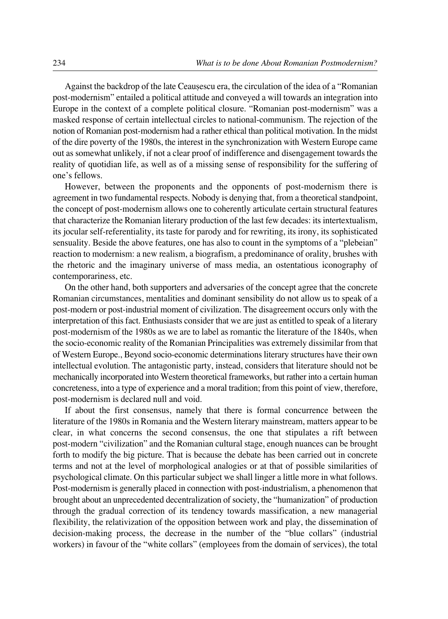Against the backdrop of the late Ceauşescu era, the circulation of the idea of a "Romanian post-modernism" entailed a political attitude and conveyed a will towards an integration into Europe in the context of a complete political closure. "Romanian post-modernism" was a masked response of certain intellectual circles to national-communism. The rejection of the notion of Romanian post-modernism had a rather ethical than political motivation. In the midst of the dire poverty of the 1980s, the interest in the synchronization with Western Europe came out as somewhat unlikely, if not a clear proof of indifference and disengagement towards the reality of quotidian life, as well as of a missing sense of responsibility for the suffering of one's fellows.

However, between the proponents and the opponents of post-modernism there is agreement in two fundamental respects. Nobody is denying that, from a theoretical standpoint, the concept of post-modernism allows one to coherently articulate certain structural features that characterize the Romanian literary production of the last few decades: its intertextualism, its jocular self-referentiality, its taste for parody and for rewriting, its irony, its sophisticated sensuality. Beside the above features, one has also to count in the symptoms of a "plebeian" reaction to modernism: a new realism, a biografism, a predominance of orality, brushes with the rhetoric and the imaginary universe of mass media, an ostentatious iconography of contemporariness, etc.

On the other hand, both supporters and adversaries of the concept agree that the concrete Romanian circumstances, mentalities and dominant sensibility do not allow us to speak of a post-modern or post-industrial moment of civilization. The disagreement occurs only with the interpretation of this fact. Enthusiasts consider that we are just as entitled to speak of a literary post-modernism of the 1980s as we are to label as romantic the literature of the 1840s, when the socio°economic reality of the Romanian Principalities was extremely dissimilar from that of Western Europe., Beyond socio-economic determinations literary structures have their own intellectual evolution. The antagonistic party, instead, considers that literature should not be mechanically incorporated into Western theoretical frameworks, but rather into a certain human concreteness, into a type of experience and a moral tradition; from this point of view, therefore, post-modernism is declared null and void.

If about the first consensus, namely that there is formal concurrence between the literature of the 1980s in Romania and the Western literary mainstream, matters appear to be clear, in what concerns the second consensus, the one that stipulates a rift between post-modern "civilization" and the Romanian cultural stage, enough nuances can be brought forth to modify the big picture. That is because the debate has been carried out in concrete terms and not at the level of morphological analogies or at that of possible similarities of psychological climate. On this particular subject we shall linger a little more in what follows. Post-modernism is generally placed in connection with post-industrialism, a phenomenon that brought about an unprecedented decentralization of society, the "humanization" of production through the gradual correction of its tendency towards massification, a new managerial flexibility, the relativization of the opposition between work and play, the dissemination of decision-making process, the decrease in the number of the "blue collars" (industrial workers) in favour of the "white collars" (employees from the domain of services), the total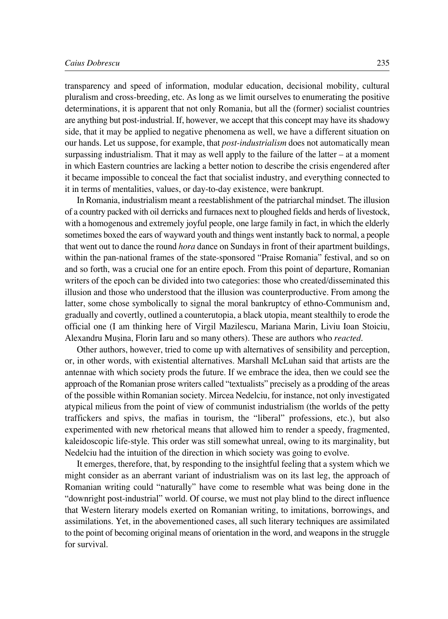## *Caius Dobrescu* 235

transparency and speed of information, modular education, decisional mobility, cultural pluralism and cross°breeding, etc. As long as we limit ourselves to enumerating the positive determinations, it is apparent that not only Romania, but all the (former) socialist countries are anything but post-industrial. If, however, we accept that this concept may have its shadowy side, that it may be applied to negative phenomena as well, we have a different situation on our hands. Let us suppose, for example, that *post-industrialism* does not automatically mean surpassing industrialism. That it may as well apply to the failure of the latter  $-$  at a moment in which Eastern countries are lacking a better notion to describe the crisis engendered after it became impossible to conceal the fact that socialist industry, and everything connected to it in terms of mentalities, values, or day-to-day existence, were bankrupt.

In Romania, industrialism meant a reestablishment of the patriarchal mindset. The illusion of a country packed with oil derricks and furnaces next to ploughed fields and herds of livestock, with a homogenous and extremely joyful people, one large family in fact, in which the elderly sometimes boxed the ears of wayward youth and things went instantly back to normal, a people that went out to dance the round *hora* dance on Sundays in front of their apartment buildings, within the pan-national frames of the state-sponsored "Praise Romania" festival, and so on and so forth, was a crucial one for an entire epoch. From this point of departure, Romanian writers of the epoch can be divided into two categories: those who created/disseminated this illusion and those who understood that the illusion was counterproductive. From among the latter, some chose symbolically to signal the moral bankruptcy of ethno-Communism and, gradually and covertly, outlined a counterutopia, a black utopia, meant stealthily to erode the official one (I am thinking here of Virgil Mazilescu, Mariana Marin, Liviu Ioan Stoiciu, Alexandru Mușina, Florin Iaru and so many others). These are authors who *reacted*.

Other authors, however, tried to come up with alternatives of sensibility and perception, or, in other words, with existential alternatives. Marshall McLuhan said that artists are the antennae with which society prods the future. If we embrace the idea, then we could see the approach of the Romanian prose writers called "textualists" precisely as a prodding of the areas of the possible within Romanian society. Mircea Nedelciu, for instance, not only investigated atypical milieus from the point of view of communist industrialism (the worlds of the petty traffickers and spivs, the mafias in tourism, the "liberal" professions, etc.), but also experimented with new rhetorical means that allowed him to render a speedy, fragmented, kaleidoscopic life-style. This order was still somewhat unreal, owing to its marginality, but Nedelciu had the intuition of the direction in which society was going to evolve.

It emerges, therefore, that, by responding to the insightful feeling that a system which we might consider as an aberrant variant of industrialism was on its last leg, the approach of Romanian writing could "naturally" have come to resemble what was being done in the "downright post°industrial" world. Of course, we must not play blind to the direct influence that Western literary models exerted on Romanian writing, to imitations, borrowings, and assimilations. Yet, in the abovementioned cases, all such literary techniques are assimilated to the point of becoming original means of orientation in the word, and weapons in the struggle for survival.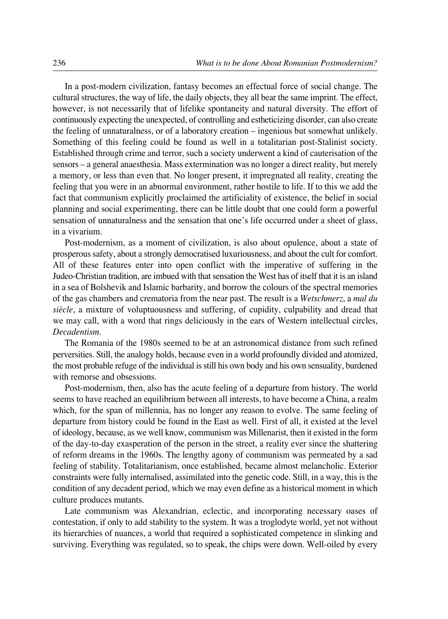In a post-modern civilization, fantasy becomes an effectual force of social change. The cultural structures, the way of life, the daily objects, they all bear the same imprint. The effect, however, is not necessarily that of lifelike spontaneity and natural diversity. The effort of continuously expecting the unexpected, of controlling and estheticizing disorder, can also create the feeling of unnaturalness, or of a laboratory creation – ingenious but somewhat unlikely. Something of this feeling could be found as well in a totalitarian post-Stalinist society. Established through crime and terror, such a society underwent a kind of cauterisation of the sensors – a general anaesthesia. Mass extermination was no longer a direct reality, but merely a memory, or less than even that. No longer present, it impregnated all reality, creating the feeling that you were in an abnormal environment, rather hostile to life. If to this we add the fact that communism explicitly proclaimed the artificiality of existence, the belief in social planning and social experimenting, there can be little doubt that one could form a powerful sensation of unnaturalness and the sensation that one's life occurred under a sheet of glass, in a vivarium.

Post-modernism, as a moment of civilization, is also about opulence, about a state of prosperous safety, about a strongly democratised luxuriousness, and about the cult for comfort. All of these features enter into open conflict with the imperative of suffering in the Judeo°Christian tradition, are imbued with that sensation the West has of itself that it is an island in a sea of Bolshevik and Islamic barbarity, and borrow the colours of the spectral memories of the gas chambers and crematoria from the near past. The result is a *Wetschmerz*, a *mal du siècle*, a mixture of voluptuousness and suffering, of cupidity, culpability and dread that we may call, with a word that rings deliciously in the ears of Western intellectual circles, *Decadentism*.

The Romania of the 1980s seemed to be at an astronomical distance from such refined perversities. Still, the analogy holds, because even in a world profoundly divided and atomized, the most probable refuge of the individual is still his own body and his own sensuality, burdened with remorse and obsessions.

Post-modernism, then, also has the acute feeling of a departure from history. The world seems to have reached an equilibrium between all interests, to have become a China, a realm which, for the span of millennia, has no longer any reason to evolve. The same feeling of departure from history could be found in the East as well. First of all, it existed at the level of ideology, because, as we well know, communism was Millenarist, then it existed in the form of the day°to°day exasperation of the person in the street, a reality ever since the shattering of reform dreams in the 1960s. The lengthy agony of communism was permeated by a sad feeling of stability. Totalitarianism, once established, became almost melancholic. Exterior constraints were fully internalised, assimilated into the genetic code. Still, in a way, this is the condition of any decadent period, which we may even define as a historical moment in which culture produces mutants.

Late communism was Alexandrian, eclectic, and incorporating necessary oases of contestation, if only to add stability to the system. It was a troglodyte world, yet not without its hierarchies of nuances, a world that required a sophisticated competence in slinking and surviving. Everything was regulated, so to speak, the chips were down. Well-oiled by every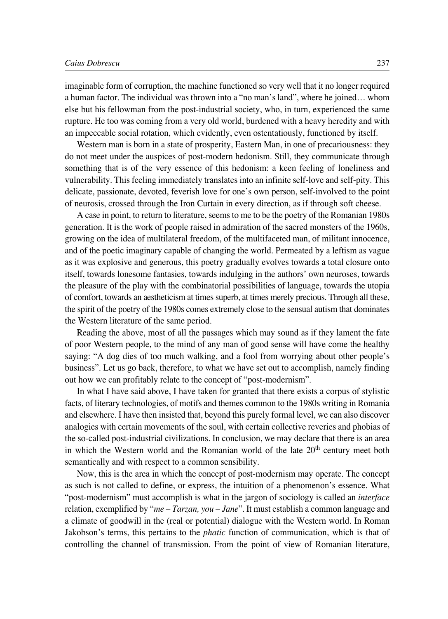imaginable form of corruption, the machine functioned so very well that it no longer required a human factor. The individual was thrown into a "no man's land", where he joined… whom else but his fellowman from the post-industrial society, who, in turn, experienced the same rupture. He too was coming from a very old world, burdened with a heavy heredity and with an impeccable social rotation, which evidently, even ostentatiously, functioned by itself.

Western man is born in a state of prosperity, Eastern Man, in one of precariousness: they do not meet under the auspices of post-modern hedonism. Still, they communicate through something that is of the very essence of this hedonism: a keen feeling of loneliness and vulnerability. This feeling immediately translates into an infinite self°love and self°pity. This delicate, passionate, devoted, feverish love for one's own person, self-involved to the point of neurosis, crossed through the Iron Curtain in every direction, as if through soft cheese.

A case in point, to return to literature, seems to me to be the poetry of the Romanian 1980s generation. It is the work of people raised in admiration of the sacred monsters of the 1960s, growing on the idea of multilateral freedom, of the multifaceted man, of militant innocence, and of the poetic imaginary capable of changing the world. Permeated by a leftism as vague as it was explosive and generous, this poetry gradually evolves towards a total closure onto itself, towards lonesome fantasies, towards indulging in the authors' own neuroses, towards the pleasure of the play with the combinatorial possibilities of language, towards the utopia of comfort, towards an aestheticism at times superb, at times merely precious. Through all these, the spirit of the poetry of the 1980s comes extremely close to the sensual autism that dominates the Western literature of the same period.

Reading the above, most of all the passages which may sound as if they lament the fate of poor Western people, to the mind of any man of good sense will have come the healthy saying: "A dog dies of too much walking, and a fool from worrying about other people's business". Let us go back, therefore, to what we have set out to accomplish, namely finding out how we can profitably relate to the concept of "post-modernism".

In what I have said above, I have taken for granted that there exists a corpus of stylistic facts, of literary technologies, of motifs and themes common to the 1980s writing in Romania and elsewhere. I have then insisted that, beyond this purely formal level, we can also discover analogies with certain movements of the soul, with certain collective reveries and phobias of the so-called post-industrial civilizations. In conclusion, we may declare that there is an area in which the Western world and the Romanian world of the late 20<sup>th</sup> century meet both semantically and with respect to a common sensibility.

Now, this is the area in which the concept of post-modernism may operate. The concept as such is not called to define, or express, the intuition of a phenomenon's essence. What "post-modernism" must accomplish is what in the jargon of sociology is called an *interface* relation, exemplified by "*me – Tarzan, you – Jane*". It must establish a common language and a climate of goodwill in the (real or potential) dialogue with the Western world. In Roman Jakobson's terms, this pertains to the *phatic* function of communication, which is that of controlling the channel of transmission. From the point of view of Romanian literature,